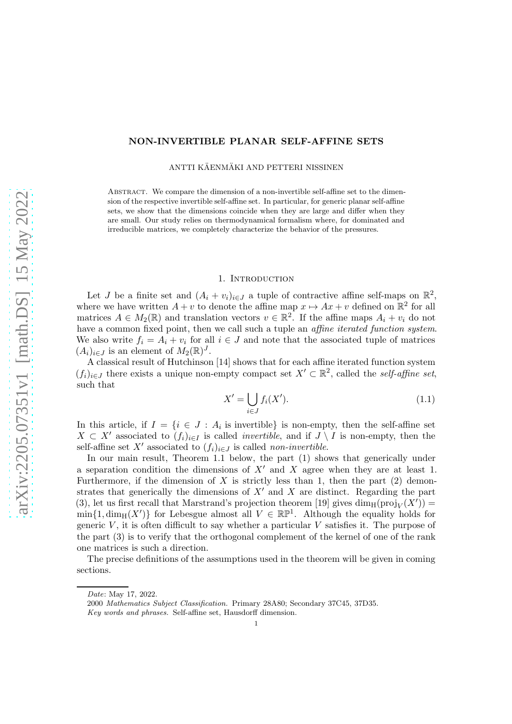# NON-INVERTIBLE PLANAR SELF-AFFINE SETS

ANTTI KÄENMÄKI AND PETTERI NISSINEN

ABSTRACT. We compare the dimension of a non-invertible self-affine set to the dimension of the respective invertible self-affine set. In particular, for generic planar self-affine sets, we show that the dimensions coincide when they are large and differ when they are small. Our study relies on thermodynamical formalism where, for dominated and irreducible matrices, we completely characterize the behavior of the pressures.

### 1. INTRODUCTION

Let J be a finite set and  $(A_i + v_i)_{i \in J}$  a tuple of contractive affine self-maps on  $\mathbb{R}^2$ , where we have written  $A + v$  to denote the affine map  $x \mapsto Ax + v$  defined on  $\mathbb{R}^2$  for all matrices  $A \in M_2(\mathbb{R})$  and translation vectors  $v \in \mathbb{R}^2$ . If the affine maps  $A_i + v_i$  do not have a common fixed point, then we call such a tuple an *affine iterated function system*. We also write  $f_i = A_i + v_i$  for all  $i \in J$  and note that the associated tuple of matrices  $(A_i)_{i\in J}$  is an element of  $M_2(\mathbb{R})^J$ .

A classical result of Hutchinson [\[14\]](#page-14-0) shows that for each affine iterated function system  $(f_i)_{i\in J}$  there exists a unique non-empty compact set  $X' \subset \mathbb{R}^2$ , called the self-affine set, such that

<span id="page-0-0"></span>
$$
X' = \bigcup_{i \in J} f_i(X'). \tag{1.1}
$$

In this article, if  $I = \{i \in J : A_i$  is invertible is non-empty, then the self-affine set  $X \subset X'$  associated to  $(f_i)_{i \in I}$  is called *invertible*, and if  $J \setminus I$  is non-empty, then the self-affine set X' associated to  $(f_i)_{i\in J}$  is called non-invertible.

In our main result, Theorem [1.1](#page-1-0) below, the part (1) shows that generically under a separation condition the dimensions of  $X'$  and X agree when they are at least 1. Furthermore, if the dimension of X is strictly less than 1, then the part  $(2)$  demonstrates that generically the dimensions of  $X'$  and  $X$  are distinct. Regarding the part (3), let us first recall that Marstrand's projection theorem [\[19\]](#page-15-0) gives  $\dim_H(proj_V(X'))$  =  $\min\{1,\dim_H(X')\}$  for Lebesgue almost all  $V \in \mathbb{RP}^1$ . Although the equality holds for generic  $V$ , it is often difficult to say whether a particular  $V$  satisfies it. The purpose of the part (3) is to verify that the orthogonal complement of the kernel of one of the rank one matrices is such a direction.

The precise definitions of the assumptions used in the theorem will be given in coming sections.

Date: May 17, 2022.

<sup>2000</sup> Mathematics Subject Classification. Primary 28A80; Secondary 37C45, 37D35.

Key words and phrases. Self-affine set, Hausdorff dimension.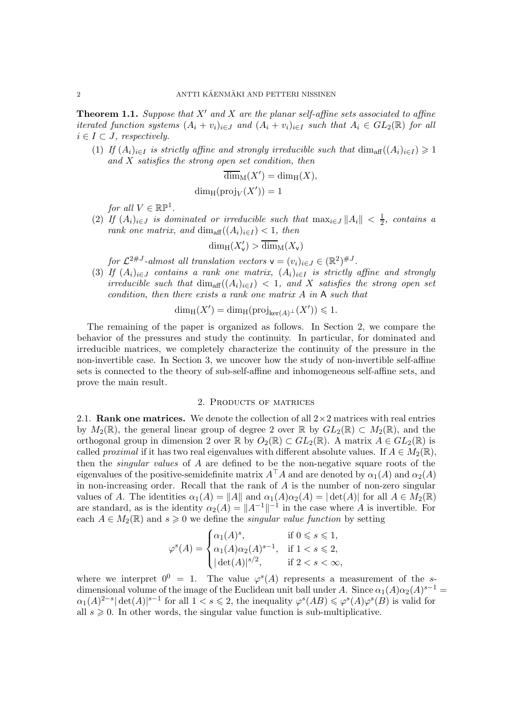<span id="page-1-0"></span>**Theorem 1.1.** Suppose that  $X'$  and  $X$  are the planar self-affine sets associated to affine iterated function systems  $(A_i + v_i)_{i \in J}$  and  $(A_i + v_i)_{i \in I}$  such that  $A_i \in GL_2(\mathbb{R})$  for all  $i \in I \subset J$ , respectively.

(1) If  $(A_i)_{i\in I}$  is strictly affine and strongly irreducible such that  $\dim_{\text{aff}} ((A_i)_{i\in I}) \geq 1$ and  $X$  satisfies the strong open set condition, then

$$
\overline{\dim}_{\mathcal{M}}(X') = \dim_{\mathcal{H}}(X),
$$
  

$$
\dim_{\mathcal{H}}(\text{proj}_V(X')) = 1
$$

for all  $V \in \mathbb{RP}^1$ .

(2) If  $(A_i)_{i\in J}$  is dominated or irreducible such that  $\max_{i\in J} ||A_i|| < \frac{1}{2}$ , contains a rank one matrix, and  $\dim_{\text{aff}}((A_i)_{i\in I}) < 1$ , then

$$
\dim_{\mathrm{H}}(X'_\mathsf{v}) > \overline{\dim}_{\mathrm{M}}(X_\mathsf{v})
$$

for  $\mathcal{L}^{2\#J}$ -almost all translation vectors  $\mathsf{v} = (v_i)_{i \in J} \in (\mathbb{R}^2)^{\#J}$ .

(3) If  $(A_i)_{i\in J}$  contains a rank one matrix,  $(A_i)_{i\in I}$  is strictly affine and strongly irreducible such that  $\dim_{\text{aff}}((A_i)_{i\in I}) < 1$ , and X satisfies the strong open set condition, then there exists a rank one matrix A in A such that

$$
\dim_{\rm H} (X')=\dim_{\rm H}({{\rm{proj}}}_{\ker(A)^{\perp}}(X'))\leqslant 1.
$$

The remaining of the paper is organized as follows. In Section [2,](#page-1-1) we compare the behavior of the pressures and study the continuity. In particular, for dominated and irreducible matrices, we completely characterize the continuity of the pressure in the non-invertible case. In Section [3,](#page-10-0) we uncover how the study of non-invertible self-affine sets is connected to the theory of sub-self-affine and inhomogeneous self-affine sets, and prove the main result.

## 2. Products of matrices

<span id="page-1-1"></span>2.1. Rank one matrices. We denote the collection of all  $2\times 2$  matrices with real entries by  $M_2(\mathbb{R})$ , the general linear group of degree 2 over  $\mathbb{R}$  by  $GL_2(\mathbb{R}) \subset M_2(\mathbb{R})$ , and the orthogonal group in dimension 2 over R by  $O_2(\mathbb{R}) \subset GL_2(\mathbb{R})$ . A matrix  $A \in GL_2(\mathbb{R})$  is called proximal if it has two real eigenvalues with different absolute values. If  $A \in M_2(\mathbb{R})$ , then the *singular values* of  $A$  are defined to be the non-negative square roots of the eigenvalues of the positive-semidefinite matrix  $A^{\top}A$  and are denoted by  $\alpha_1(A)$  and  $\alpha_2(A)$ in non-increasing order. Recall that the rank of  $A$  is the number of non-zero singular values of A. The identities  $\alpha_1(A) = ||A||$  and  $\alpha_1(A)\alpha_2(A) = |\det(A)|$  for all  $A \in M_2(\mathbb{R})$ are standard, as is the identity  $\alpha_2(A) = ||A^{-1}||^{-1}$  in the case where A is invertible. For each  $A \in M_2(\mathbb{R})$  and  $s \geq 0$  we define the *singular value function* by setting

$$
\varphi^s(A) = \begin{cases} \alpha_1(A)^s, & \text{if } 0 \le s \le 1, \\ \alpha_1(A)\alpha_2(A)^{s-1}, & \text{if } 1 < s \le 2, \\ |\det(A)|^{s/2}, & \text{if } 2 < s < \infty, \end{cases}
$$

where we interpret  $0^0 = 1$ . The value  $\varphi^{s}(A)$  represents a measurement of the sdimensional volume of the image of the Euclidean unit ball under A. Since  $\alpha_1(A)\alpha_2(A)^{s-1} =$  $\alpha_1(A)^{2-s}|\det(A)|^{s-1}$  for all  $1 < s \leq 2$ , the inequality  $\varphi^s(AB) \leq \varphi^s(A)\varphi^s(B)$  is valid for all  $s \geq 0$ . In other words, the singular value function is sub-multiplicative.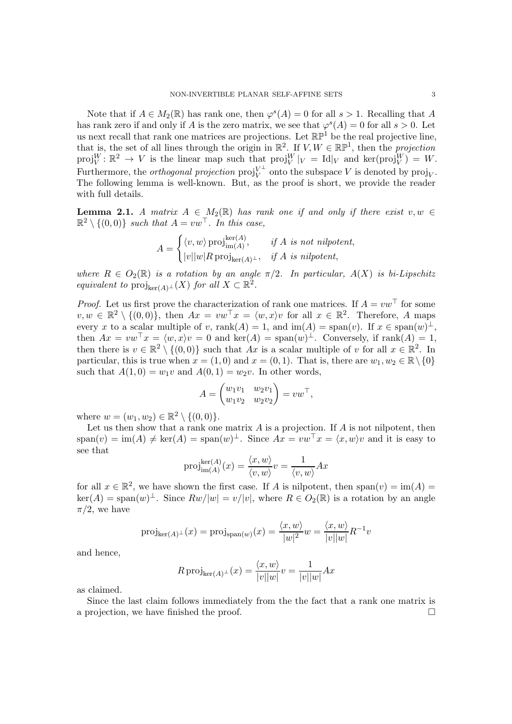Note that if  $A \in M_2(\mathbb{R})$  has rank one, then  $\varphi^s(A) = 0$  for all  $s > 1$ . Recalling that A has rank zero if and only if A is the zero matrix, we see that  $\varphi^{s}(A) = 0$  for all  $s > 0$ . Let us next recall that rank one matrices are projections. Let  $\mathbb{RP}^1$  be the real projective line, that is, the set of all lines through the origin in  $\mathbb{R}^2$ . If  $V, W \in \mathbb{RP}^1$ , then the projection  $proj_V^W: \mathbb{R}^2 \to V$  is the linear map such that  $proj_V^W|_V = Id|_V$  and  $ker(proj_V^W) = W$ . Furthermore, the *orthogonal projection*  $\text{proj}_{V}^{V^{\perp}}$  onto the subspace V is denoted by  $\text{proj}_{V}$ . The following lemma is well-known. But, as the proof is short, we provide the reader with full details.

<span id="page-2-0"></span>**Lemma 2.1.** A matrix  $A \in M_2(\mathbb{R})$  has rank one if and only if there exist  $v, w \in$  $\mathbb{R}^2 \setminus \{(0,0)\}\$  such that  $A = vw^\top$ . In this case,

$$
A = \begin{cases} \langle v, w \rangle \operatorname{proj}_{\operatorname{im}(A)}^{\ker(A)}, & \text{if } A \text{ is not nilpotent,} \\ |v||w|R \operatorname{proj}_{\ker(A)^{\perp}}, & \text{if } A \text{ is nilpotent,} \end{cases}
$$

where  $R \in O_2(\mathbb{R})$  is a rotation by an angle  $\pi/2$ . In particular,  $A(X)$  is bi-Lipschitz equivalent to  $\text{proj}_{\text{ker}(A)^{\perp}}(X)$  for all  $X \subset \mathbb{R}^2$ .

*Proof.* Let us first prove the characterization of rank one matrices. If  $A = vw^{\top}$  for some  $v, w \in \mathbb{R}^2 \setminus \{(0,0)\},\$  then  $Ax = vw^{\top}x = \langle w, x \rangle v$  for all  $x \in \mathbb{R}^2$ . Therefore, A maps every x to a scalar multiple of v, rank $(A) = 1$ , and  $\text{im}(A) = \text{span}(v)$ . If  $x \in \text{span}(w)^{\perp}$ , then  $Ax = vw^{\top}x = \langle w, x \rangle v = 0$  and  $\text{ker}(A) = \text{span}(w)^{\perp}$ . Conversely, if  $\text{rank}(A) = 1$ , then there is  $v \in \mathbb{R}^2 \setminus \{(0,0)\}$  such that Ax is a scalar multiple of v for all  $x \in \mathbb{R}^2$ . In particular, this is true when  $x = (1,0)$  and  $x = (0,1)$ . That is, there are  $w_1, w_2 \in \mathbb{R} \setminus \{0\}$ such that  $A(1,0) = w_1v$  and  $A(0,1) = w_2v$ . In other words,

$$
A = \begin{pmatrix} w_1v_1 & w_2v_1 \\ w_1v_2 & w_2v_2 \end{pmatrix} = vw^\top,
$$

where  $w = (w_1, w_2) \in \mathbb{R}^2 \setminus \{(0, 0)\}.$ 

Let us then show that a rank one matrix  $A$  is a projection. If  $A$  is not nilpotent, then  $\text{span}(v) = \text{im}(A) \neq \text{ker}(A) = \text{span}(w)$ <sup> $\perp$ </sup>. Since  $Ax = vw^{\top}x = \langle x, w \rangle v$  and it is easy to see that

$$
\mathrm{proj}_{\mathrm{im}(A)}^{\mathrm{ker}(A)}(x) = \frac{\langle x, w \rangle}{\langle v, w \rangle} v = \frac{1}{\langle v, w \rangle} A x
$$

for all  $x \in \mathbb{R}^2$ , we have shown the first case. If A is nilpotent, then  $\text{span}(v) = \text{im}(A) =$  $\ker(A) = \text{span}(w)^{\perp}$ . Since  $Rw/|w| = v/|v|$ , where  $R \in O_2(\mathbb{R})$  is a rotation by an angle  $\pi/2$ , we have

$$
\mathrm{proj}_{\ker(A)^{\perp}}(x) = \mathrm{proj}_{\mathrm{span}(w)}(x) = \frac{\langle x, w \rangle}{|w|^2} w = \frac{\langle x, w \rangle}{|v||w|} R^{-1} v
$$

and hence,

$$
R \operatorname{proj}_{\ker(A)^{\perp}}(x) = \frac{\langle x, w \rangle}{|v||w|} v = \frac{1}{|v||w|} Ax
$$

as claimed.

Since the last claim follows immediately from the the fact that a rank one matrix is a projection, we have finished the proof.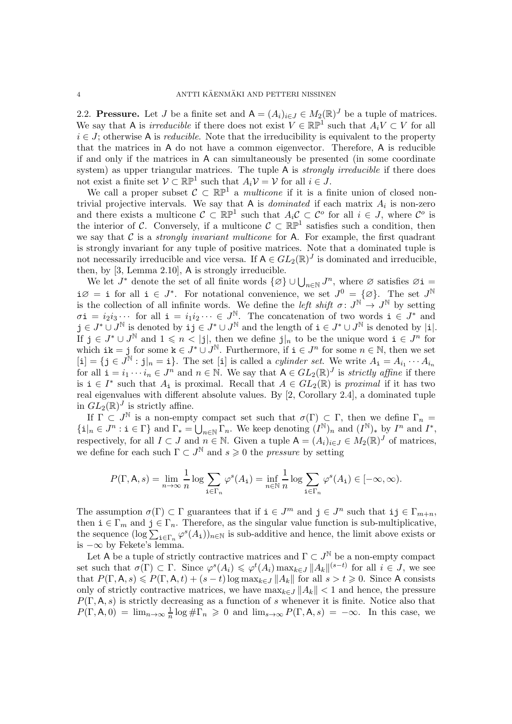2.2. Pressure. Let J be a finite set and  $A = (A_i)_{i \in J} \in M_2(\mathbb{R})^J$  be a tuple of matrices. We say that A is *irreducible* if there does not exist  $V \in \mathbb{RP}^1$  such that  $A_i V \subset V$  for all  $i \in J$ ; otherwise A is *reducible*. Note that the irreducibility is equivalent to the property that the matrices in A do not have a common eigenvector. Therefore, A is reducible if and only if the matrices in A can simultaneously be presented (in some coordinate system) as upper triangular matrices. The tuple A is *strongly irreducible* if there does not exist a finite set  $\mathcal{V} \subset \mathbb{RP}^1$  such that  $A_i \mathcal{V} = \mathcal{V}$  for all  $i \in J$ .

We call a proper subset  $C \subset \mathbb{RP}^1$  a *multicone* if it is a finite union of closed nontrivial projective intervals. We say that A is *dominated* if each matrix  $A_i$  is non-zero and there exists a multicone  $\mathcal{C} \subset \mathbb{RP}^1$  such that  $A_i \mathcal{C} \subset \mathcal{C}^o$  for all  $i \in J$ , where  $\mathcal{C}^o$  is the interior of C. Conversely, if a multicone  $\mathcal{C} \subset \mathbb{RP}^1$  satisfies such a condition, then we say that C is a *strongly invariant multicone* for A. For example, the first quadrant is strongly invariant for any tuple of positive matrices. Note that a dominated tuple is not necessarily irreducible and vice versa. If  $A \in GL_2(\mathbb{R})^J$  is dominated and irreducible, then, by [\[3,](#page-14-1) Lemma 2.10], A is strongly irreducible.

We let  $J^*$  denote the set of all finite words  $\{\varnothing\} \cup \bigcup_{n\in\mathbb{N}} J^n$ , where  $\varnothing$  satisfies  $\varnothing$  i  $i\varnothing = i$  for all  $i \in J^*$ . For notational convenience, we set  $J^0 = {\varnothing}$ . The set  $J^{\mathbb{N}}$ is the collection of all infinite words. We define the *left shift*  $\sigma: J^{\mathbb{N}} \to J^{\mathbb{N}}$  by setting  $\sigma \mathbf{i} = i_2 i_3 \cdots$  for all  $\mathbf{i} = i_1 i_2 \cdots \in J^{\mathbb{N}}$ . The concatenation of two words  $\mathbf{i} \in J^*$  and  $j \in J^* \cup J^{\mathbb{N}}$  is denoted by  $\mathbf{i} j \in J^* \cup J^{\mathbb{N}}$  and the length of  $\mathbf{i} \in J^* \cup J^{\mathbb{N}}$  is denoted by  $|\mathbf{i}|$ . If  $j \in J^* \cup J^{\mathbb{N}}$  and  $1 \leqslant n < |j|$ , then we define  $j \mid n \leqslant n$  to be the unique word  $i \in J^n$  for which ik = j for some  $k \in J^* \cup J^{\mathbb{N}}$ . Furthermore, if  $i \in J^n$  for some  $n \in \mathbb{N}$ , then we set  $[i] = \{j \in J^{\mathbb{N}} : j|_{n} = i\}.$  The set [i] is called a *cylinder set*. We write  $A_i = A_{i_1} \cdots A_{i_n}$ for all  $\mathbf{i} = i_1 \cdots i_n \in J^n$  and  $n \in \mathbb{N}$ . We say that  $A \in GL_2(\mathbb{R})^J$  is *strictly affine* if there is  $i \in I^*$  such that  $A_i$  is proximal. Recall that  $A \in GL_2(\mathbb{R})$  is proximal if it has two real eigenvalues with different absolute values. By [\[2,](#page-14-2) Corollary 2.4], a dominated tuple in  $GL_2(\mathbb{R})^J$  is strictly affine.

If  $\Gamma \subset J^{\mathbb{N}}$  is a non-empty compact set such that  $\sigma(\Gamma) \subset \Gamma$ , then we define  $\Gamma_n =$  $\{\mathbf{i}|_n \in J^n : \mathbf{i} \in \Gamma\}$  and  $\Gamma_* = \bigcup_{n \in \mathbb{N}} \Gamma_n$ . We keep denoting  $(I^{\mathbb{N}})_n$  and  $(I^{\mathbb{N}})_*$  by  $I^n$  and  $I^*$ , respectively, for all  $I \subset J$  and  $n \in \mathbb{N}$ . Given a tuple  $A = (A_i)_{i \in J} \in M_2(\mathbb{R})^J$  of matrices, we define for each such  $\Gamma \subset J^{\mathbb{N}}$  and  $s \geq 0$  the *pressure* by setting

$$
P(\Gamma, \mathsf{A}, s) = \lim_{n \to \infty} \frac{1}{n} \log \sum_{\mathbf{i} \in \Gamma_n} \varphi^s(A_\mathbf{i}) = \inf_{n \in \mathbb{N}} \frac{1}{n} \log \sum_{\mathbf{i} \in \Gamma_n} \varphi^s(A_\mathbf{i}) \in [-\infty, \infty).
$$

The assumption  $\sigma(\Gamma) \subset \Gamma$  guarantees that if  $i \in J^m$  and  $j \in J^n$  such that  $i, j \in \Gamma_{m+n}$ , then  $i \in \Gamma_m$  and  $j \in \Gamma_n$ . Therefore, as the singular value function is sub-multiplicative, the sequence  $(\log \sum_{i \in \Gamma_n} \varphi^s(A_i))_{n \in \mathbb{N}}$  is sub-additive and hence, the limit above exists or is  $-\infty$  by Fekete's lemma.

Let A be a tuple of strictly contractive matrices and  $\Gamma \subset J^{\mathbb{N}}$  be a non-empty compact set such that  $\sigma(\Gamma) \subset \Gamma$ . Since  $\varphi^{s}(A_i) \leq \varphi^{t}(A_i) \max_{k \in J} ||A_k||^{(s-t)}$  for all  $i \in J$ , we see that  $P(\Gamma, \mathsf{A}, s) \leq P(\Gamma, \mathsf{A}, t) + (s - t) \log \max_{k \in J} ||A_k||$  for all  $s > t \geq 0$ . Since A consists only of strictly contractive matrices, we have  $\max_{k \in J} ||A_k|| < 1$  and hence, the pressure  $P(\Gamma, A, s)$  is strictly decreasing as a function of s whenever it is finite. Notice also that  $P(\Gamma, \mathsf{A}, 0) = \lim_{n \to \infty} \frac{1}{n}$  $\frac{1}{n}\log \#\Gamma_n \geq 0$  and  $\lim_{s\to\infty} P(\Gamma,\mathsf{A},s) = -\infty$ . In this case, we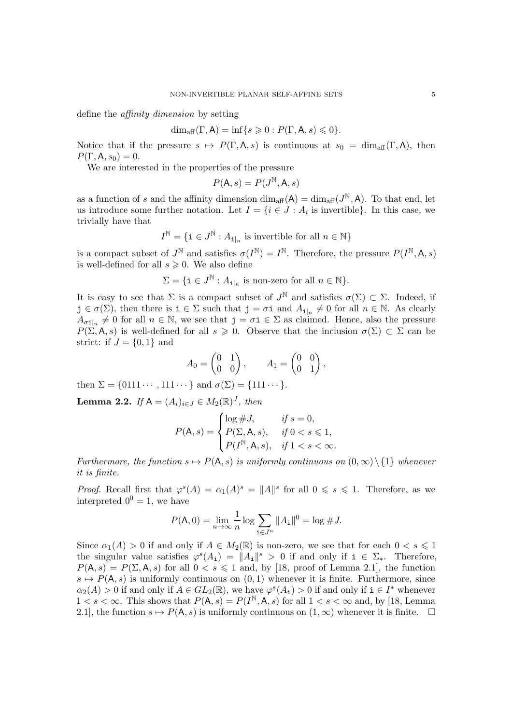define the affinity dimension by setting

$$
\dim_{\text{aff}}(\Gamma, \mathsf{A}) = \inf\{s \geqslant 0: P(\Gamma, \mathsf{A}, s) \leqslant 0\}.
$$

Notice that if the pressure  $s \mapsto P(\Gamma, A, s)$  is continuous at  $s_0 = \dim_{\text{aff}}(\Gamma, A)$ , then  $P(\Gamma, A, s_0) = 0.$ 

We are interested in the properties of the pressure

$$
P(\mathsf{A},s) = P(J^{\mathbb{N}}, \mathsf{A},s)
$$

as a function of s and the affinity dimension  $\dim_{\text{aff}}(A) = \dim_{\text{aff}}(J^{\mathbb{N}}, A)$ . To that end, let us introduce some further notation. Let  $I = \{i \in J : A_i \text{ is invertible}\}\.$  In this case, we trivially have that

$$
I^{\mathbb{N}} = \{ \mathbf{i} \in J^{\mathbb{N}} : A_{\mathbf{i}|n} \text{ is invertible for all } n \in \mathbb{N} \}
$$

is a compact subset of  $J^{\mathbb{N}}$  and satisfies  $\sigma(I^{\mathbb{N}}) = I^{\mathbb{N}}$ . Therefore, the pressure  $P(I^{\mathbb{N}}, \mathsf{A}, s)$ is well-defined for all  $s \geqslant 0$ . We also define

$$
\Sigma = \{ \mathbf{i} \in J^{\mathbb{N}} : A_{\mathbf{i}|_n} \text{ is non-zero for all } n \in \mathbb{N} \}.
$$

It is easy to see that  $\Sigma$  is a compact subset of  $J^{\mathbb{N}}$  and satisfies  $\sigma(\Sigma) \subset \Sigma$ . Indeed, if  $j \in \sigma(\Sigma)$ , then there is  $i \in \Sigma$  such that  $j = \sigma i$  and  $A_{i|n} \neq 0$  for all  $n \in \mathbb{N}$ . As clearly  $A_{\sigma i|n} \neq 0$  for all  $n \in \mathbb{N}$ , we see that  $j = \sigma i \in \Sigma$  as claimed. Hence, also the pressure  $P(\Sigma, \mathsf{A}, s)$  is well-defined for all  $s \geq 0$ . Observe that the inclusion  $\sigma(\Sigma) \subset \Sigma$  can be strict: if  $J = \{0, 1\}$  and

$$
A_0 = \begin{pmatrix} 0 & 1 \\ 0 & 0 \end{pmatrix}, \qquad A_1 = \begin{pmatrix} 0 & 0 \\ 0 & 1 \end{pmatrix},
$$

then  $\Sigma = \{0111 \cdots, 111 \cdots\}$  and  $\sigma(\Sigma) = \{111 \cdots\}$ .

<span id="page-4-0"></span>**Lemma 2.2.** If  $A = (A_i)_{i \in J} \in M_2(\mathbb{R})^J$ , then

$$
P(\mathsf{A}, s) = \begin{cases} \log \#J, & \text{if } s = 0, \\ P(\Sigma, \mathsf{A}, s), & \text{if } 0 < s \le 1, \\ P(I^{\mathbb{N}}, \mathsf{A}, s), & \text{if } 1 < s < \infty. \end{cases}
$$

Furthermore, the function  $s \mapsto P(A, s)$  is uniformly continuous on  $(0, \infty) \setminus \{1\}$  whenever it is finite.

*Proof.* Recall first that  $\varphi^{s}(A) = \alpha_1(A)^s = ||A||^s$  for all  $0 \le s \le 1$ . Therefore, as we interpreted  $0^0 = 1$ , we have

$$
P(\mathsf{A}, 0) = \lim_{n \to \infty} \frac{1}{n} \log \sum_{\mathbf{i} \in J^n} \|A_{\mathbf{i}}\|^0 = \log \# J.
$$

Since  $\alpha_1(A) > 0$  if and only if  $A \in M_2(\mathbb{R})$  is non-zero, we see that for each  $0 < s \leq 1$ the singular value satisfies  $\varphi^{s}(A_1) = ||A_1||^{s} > 0$  if and only if  $i \in \Sigma_*$ . Therefore,  $P(A, s) = P(\Sigma, A, s)$  for all  $0 < s \le 1$  and, by [\[18,](#page-15-1) proof of Lemma 2.1], the function  $s \mapsto P(A, s)$  is uniformly continuous on  $(0, 1)$  whenever it is finite. Furthermore, since  $\alpha_2(A) > 0$  if and only if  $A \in GL_2(\mathbb{R})$ , we have  $\varphi^s(A_i) > 0$  if and only if  $i \in I^*$  whenever  $1 < s < \infty$ . This shows that  $P(A, s) = P(I^{\mathbb{N}}, A, s)$  for all  $1 < s < \infty$  and, by [\[18,](#page-15-1) Lemma 2.1], the function  $s \mapsto P(A, s)$  is uniformly continuous on  $(1, \infty)$  whenever it is finite.  $\square$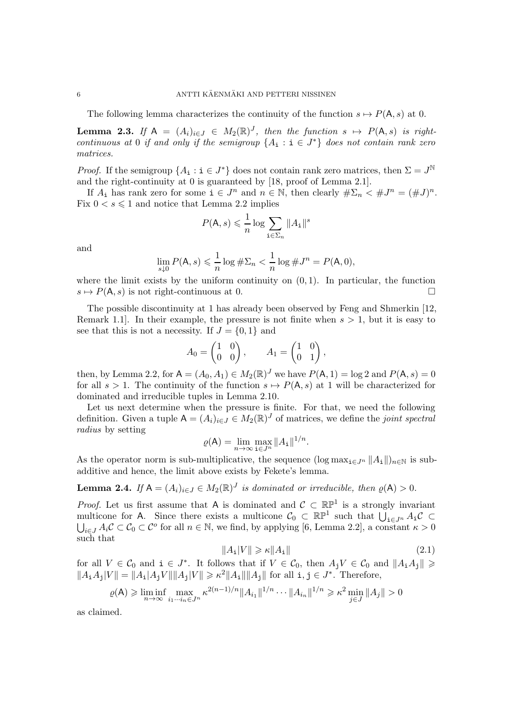The following lemma characterizes the continuity of the function  $s \mapsto P(A, s)$  at 0.

<span id="page-5-2"></span>**Lemma 2.3.** If  $A = (A_i)_{i \in J} \in M_2(\mathbb{R})^J$ , then the function  $s \mapsto P(A, s)$  is rightcontinuous at 0 if and only if the semigroup  $\{A_i : i \in J^*\}$  does not contain rank zero matrices.

*Proof.* If the semigroup  $\{A_i : i \in J^*\}$  does not contain rank zero matrices, then  $\Sigma = J^{\mathbb{N}}$ and the right-continuity at 0 is guaranteed by [\[18,](#page-15-1) proof of Lemma 2.1].

If  $A_i$  has rank zero for some  $i \in J^n$  and  $n \in \mathbb{N}$ , then clearly  $\#\Sigma_n \leq \#J^n = (\#J)^n$ . Fix  $0 < s \leq 1$  and notice that Lemma [2.2](#page-4-0) implies

$$
P(\mathsf{A}, s) \leqslant \frac{1}{n} \log \sum_{\mathbf{i} \in \Sigma_n} \|A_{\mathbf{i}}\|^s
$$

and

$$
\lim_{s\downarrow 0} P(\mathsf{A},s) \leqslant \frac{1}{n}\log\#\Sigma_n < \frac{1}{n}\log\#\mathcal{J}^n = P(\mathsf{A},0),
$$

where the limit exists by the uniform continuity on  $(0, 1)$ . In particular, the function  $s \mapsto P(A, s)$  is not right-continuous at 0.

The possible discontinuity at 1 has already been observed by Feng and Shmerkin [\[12,](#page-14-3) Remark 1.1. In their example, the pressure is not finite when  $s > 1$ , but it is easy to see that this is not a necessity. If  $J = \{0, 1\}$  and

$$
A_0 = \begin{pmatrix} 1 & 0 \\ 0 & 0 \end{pmatrix}, \qquad A_1 = \begin{pmatrix} 1 & 0 \\ 0 & 1 \end{pmatrix},
$$

then, by Lemma [2.2,](#page-4-0) for  $A = (A_0, A_1) \in M_2(\mathbb{R})^J$  we have  $P(A, 1) = \log 2$  and  $P(A, s) = 0$ for all  $s > 1$ . The continuity of the function  $s \mapsto P(A, s)$  at 1 will be characterized for dominated and irreducible tuples in Lemma [2.10.](#page-9-0)

Let us next determine when the pressure is finite. For that, we need the following definition. Given a tuple  $A = (A_i)_{i \in J} \in M_2(\mathbb{R})^J$  of matrices, we define the joint spectral radius by setting

$$
\varrho(\mathsf{A}) = \lim_{n \to \infty} \max_{\mathbf{i} \in J^n} \|A_{\mathbf{i}}\|^{1/n}.
$$

As the operator norm is sub-multiplicative, the sequence  $(\log \max_{i \in J^n} \|A_i\|)_{n \in \mathbb{N}}$  is subadditive and hence, the limit above exists by Fekete's lemma.

<span id="page-5-0"></span>**Lemma 2.4.** If  $A = (A_i)_{i \in J} \in M_2(\mathbb{R})^J$  is dominated or irreducible, then  $\varrho(A) > 0$ .

*Proof.* Let us first assume that A is dominated and  $C \subset \mathbb{RP}^1$  is a strongly invariant multicone for A. Since there exists a multicone  $\mathcal{C}_0 \subset \mathbb{RP}^1$  such that  $\bigcup_{i \in J^n} A_i \mathcal{C} \subset$  $\bigcup_{i\in J}A_i\mathcal{C}\subset\mathcal{C}_0\subset\mathcal{C}^o$  for all  $n\in\mathbb{N}$ , we find, by applying [\[6,](#page-14-4) Lemma 2.2], a constant  $\kappa>0$ such that

<span id="page-5-1"></span>
$$
||A_{\mathbf{i}}|V|| \geqslant \kappa ||A_{\mathbf{i}}|| \tag{2.1}
$$

for all  $V \in \mathcal{C}_0$  and  $i \in J^*$ . It follows that if  $V \in \mathcal{C}_0$ , then  $A_j V \in \mathcal{C}_0$  and  $||A_i A_j|| \geq$  $||A_iA_j|V|| = ||A_i|A_jV|| ||A_j|V|| \ge \kappa^2 ||A_i|| ||A_j||$  for all  $i, j \in J^*$ . Therefore,

$$
\varrho(\mathsf{A}) \geq \liminf_{n \to \infty} \max_{i_1 \cdots i_n \in J^n} \kappa^{2(n-1)/n} \|A_{i_1}\|^{1/n} \cdots \|A_{i_n}\|^{1/n} \geq \kappa^2 \min_{j \in J} \|A_j\| > 0
$$

as claimed.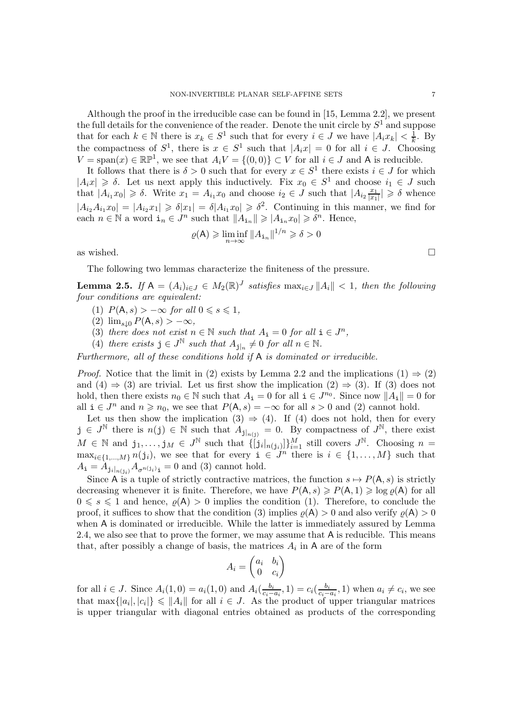Although the proof in the irreducible case can be found in [\[15,](#page-14-5) Lemma 2.2], we present the full details for the convenience of the reader. Denote the unit circle by  $S^1$  and suppose that for each  $k \in \mathbb{N}$  there is  $x_k \in S^1$  such that for every  $i \in J$  we have  $|A_i x_k| < \frac{1}{k}$  $\frac{1}{k}$ . By the compactness of  $S^1$ , there is  $x \in S^1$  such that  $|A_ix| = 0$  for all  $i \in J$ . Choosing  $V = \text{span}(x) \in \mathbb{RP}^1$ , we see that  $A_i V = \{(0,0)\} \subset V$  for all  $i \in J$  and A is reducible.

It follows that there is  $\delta > 0$  such that for every  $x \in S^1$  there exists  $i \in J$  for which  $|A_ix|\geq \delta$ . Let us next apply this inductively. Fix  $x_0 \in S^1$  and choose  $i_1 \in J$  such that  $|A_{i_1}x_0| \geq \delta$ . Write  $x_1 = A_{i_1}x_0$  and choose  $i_2 \in J$  such that  $|A_{i_2}\frac{x_1}{|x_1|}$  $\frac{x_1}{|x_1|} \geq \delta$  whence  $|A_{i_2}A_{i_1}x_0|=|A_{i_2}x_1|\geqslant \delta|x_1|=\delta|A_{i_1}x_0|\geqslant \delta^2$ . Continuing in this manner, we find for each  $n \in \mathbb{N}$  a word  $\mathbf{i}_n \in J^n$  such that  $||A_{\mathbf{i}_n}|| \geqslant |A_{\mathbf{i}_n} x_0| \geqslant \delta^n$ . Hence,

$$
\varrho(\mathsf{A}) \geqslant \liminf_{n \to \infty} \|A_{\mathtt{i}_n}\|^{1/n} \geqslant \delta > 0
$$

as wished.  $\square$ 

The following two lemmas characterize the finiteness of the pressure.

<span id="page-6-4"></span><span id="page-6-1"></span>**Lemma 2.5.** If  $A = (A_i)_{i \in J} \in M_2(\mathbb{R})^J$  satisfies  $\max_{i \in J} ||A_i|| < 1$ , then the following four conditions are equivalent:

- <span id="page-6-0"></span>(1)  $P(A, s) > -\infty$  for all  $0 \le s \le 1$ ,
- <span id="page-6-3"></span>(2)  $\lim_{s\downarrow 0} P(A, s) > -\infty$ ,
- <span id="page-6-2"></span>(3) there does not exist  $n \in \mathbb{N}$  such that  $A_i = 0$  for all  $i \in J^n$ ,
- (4) there exists  $j \in J^{\mathbb{N}}$  such that  $A_{j|n} \neq 0$  for all  $n \in \mathbb{N}$ .

Furthermore, all of these conditions hold if A is dominated or irreducible.

*Proof.* Notice that the limit in [\(2\)](#page-6-0) exists by Lemma [2.2](#page-4-0) and the implications  $(1) \Rightarrow (2)$  $(1) \Rightarrow (2)$ and [\(4\)](#page-6-2)  $\Rightarrow$  [\(3\)](#page-6-3) are trivial. Let us first show the implication [\(2\)](#page-6-0)  $\Rightarrow$  [\(3\)](#page-6-3). If (3) does not hold, then there exists  $n_0 \in \mathbb{N}$  such that  $A_i = 0$  for all  $i \in J^{n_0}$ . Since now  $||A_i|| = 0$  for all  $i \in J^n$  and  $n \ge n_0$ , we see that  $P(A, s) = -\infty$  for all  $s > 0$  and [\(2\)](#page-6-0) cannot hold.

Let us then show the implication [\(3\)](#page-6-3)  $\Rightarrow$  [\(4\)](#page-6-2). If [\(4\)](#page-6-2) does not hold, then for every  $j \in J^{\mathbb{N}}$  there is  $n(j) \in \mathbb{N}$  such that  $A_{j|_{n(j)}} = 0$ . By compactness of  $J^{\mathbb{N}}$ , there exist  $M \in \mathbb{N}$  and  $j_1, \ldots, j_M \in J^{\mathbb{N}}$  such that  $\{[j_i]_{n(j_i)}\}_{i=1}^M$  still covers  $J^{\mathbb{N}}$ . Choosing  $n =$  $\max_{i\in\{1,\ldots,M\}} n(j_i)$ , we see that for every  $i \in J^n$  there is  $i \in \{1,\ldots,M\}$  such that  $A_{\mathbf{i}} = A_{\mathbf{j}_i|_{n(j_i)}} A_{\sigma^{n(j_i)}\mathbf{i}} = 0$  and [\(3\)](#page-6-3) cannot hold.

Since A is a tuple of strictly contractive matrices, the function  $s \mapsto P(A, s)$  is strictly decreasing whenever it is finite. Therefore, we have  $P(A, s) \geqslant P(A, 1) \geqslant \log \varrho(A)$  for all  $0 \le s \le 1$  and hence,  $\rho(A) > 0$  implies the condition [\(1\)](#page-6-1). Therefore, to conclude the proof, it suffices to show that the condition [\(3\)](#page-6-3) implies  $\rho(A) > 0$  and also verify  $\rho(A) > 0$ when A is dominated or irreducible. While the latter is immediately assured by Lemma [2.4,](#page-5-0) we also see that to prove the former, we may assume that A is reducible. This means that, after possibly a change of basis, the matrices  $A_i$  in A are of the form

$$
A_i = \begin{pmatrix} a_i & b_i \\ 0 & c_i \end{pmatrix}
$$

for all  $i \in J$ . Since  $A_i(1,0) = a_i(1,0)$  and  $A_i(\frac{b_i}{c_i-1})$  $\frac{b_i}{c_i - a_i}, 1) = c_i(\frac{b_i}{c_i - a_i})$  $\frac{b_i}{c_i - a_i}$ , 1) when  $a_i \neq c_i$ , we see that  $\max\{|a_i|, |c_i|\} \leq \|A_i\|$  for all  $i \in J$ . As the product of upper triangular matrices is upper triangular with diagonal entries obtained as products of the corresponding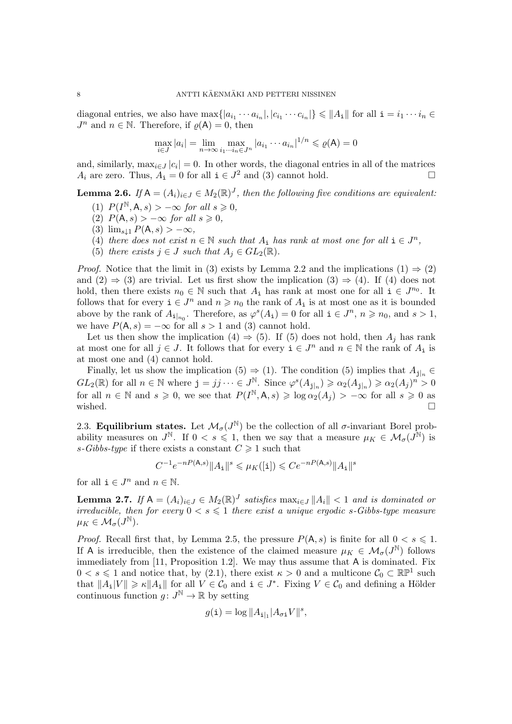diagonal entries, we also have  $\max\{|a_{i_1}\cdots a_{i_n}|, |c_{i_1}\cdots c_{i_n}|\}\leqslant ||A_{\mathbf{i}}||$  for all  $\mathbf{i}=i_1\cdots i_n\in$  $J^n$  and  $n \in \mathbb{N}$ . Therefore, if  $\varrho(A) = 0$ , then

$$
\max_{i \in J} |a_i| = \lim_{n \to \infty} \max_{i_1 \cdots i_n \in J^n} |a_{i_1} \cdots a_{i_n}|^{1/n} \leqslant \varrho(\mathsf{A}) = 0
$$

and, similarly,  $\max_{i \in J} |c_i| = 0$ . In other words, the diagonal entries in all of the matrices  $A_i$  are zero. Thus,  $A_i = 0$  for all  $i \in J^2$  and [\(3\)](#page-6-3) cannot hold.

<span id="page-7-6"></span><span id="page-7-1"></span>**Lemma 2.6.** If  $A = (A_i)_{i \in J} \in M_2(\mathbb{R})^J$ , then the following five conditions are equivalent:

- <span id="page-7-2"></span>(1)  $P(I^{\mathbb{N}}, \mathsf{A}, s) > -\infty$  for all  $s \geqslant 0$ ,
- <span id="page-7-0"></span>(2)  $P(A, s) > -\infty$  for all  $s \geq 0$ ,
- <span id="page-7-3"></span>(3)  $\lim_{s\downarrow 1} P(A, s) > -\infty$ ,
- <span id="page-7-4"></span>(4) there does not exist  $n \in \mathbb{N}$  such that  $A_i$  has rank at most one for all  $i \in J^n$ ,
- (5) there exists  $j \in J$  such that  $A_j \in GL_2(\mathbb{R})$ .

*Proof.* Notice that the limit in [\(3\)](#page-7-0) exists by Lemma [2.2](#page-4-0) and the implications [\(1\)](#page-7-1)  $\Rightarrow$  [\(2\)](#page-7-2) and  $(2) \Rightarrow (3)$  $(2) \Rightarrow (3)$  are trivial. Let us first show the implication  $(3) \Rightarrow (4)$  $(3) \Rightarrow (4)$ . If  $(4)$  does not hold, then there exists  $n_0 \in \mathbb{N}$  such that  $A_i$  has rank at most one for all  $i \in J^{n_0}$ . It follows that for every  $i \in J^n$  and  $n \geq n_0$  the rank of  $A_i$  is at most one as it is bounded above by the rank of  $A_{\mathbf{i}|_{n_0}}$ . Therefore, as  $\varphi^s(A_{\mathbf{i}}) = 0$  for all  $\mathbf{i} \in J^n$ ,  $n \geq n_0$ , and  $s > 1$ , we have  $P(A, s) = -\infty$  for all  $s > 1$  and [\(3\)](#page-7-0) cannot hold.

Let us then show the implication [\(4\)](#page-7-3)  $\Rightarrow$  [\(5\)](#page-7-4). If [\(5\)](#page-7-4) does not hold, then  $A_i$  has rank at most one for all  $j \in J$ . It follows that for every  $\mathbf{i} \in J^n$  and  $n \in \mathbb{N}$  the rank of  $A_i$  is at most one and [\(4\)](#page-7-3) cannot hold.

Finally, let us show the implication [\(5\)](#page-7-4)  $\Rightarrow$  [\(1\)](#page-7-1). The condition (5) implies that  $A_{i|n} \in$  $GL_2(\mathbb{R})$  for all  $n \in \mathbb{N}$  where  $j = jj \cdots \in J^{\mathbb{N}}$ . Since  $\varphi^s(A_{j|_n}) \geqslant \alpha_2(A_{j|_n}) \geqslant \alpha_2(A_j)^n > 0$ for all  $n \in \mathbb{N}$  and  $s \geq 0$ , we see that  $P(I^{\mathbb{N}}, \mathsf{A}, s) \geq \log \alpha_2(A_j) > -\infty$  for all  $s \geq 0$  as wished.  $\square$ 

2.3. Equilibrium states. Let  $\mathcal{M}_{\sigma}(J^{\mathbb{N}})$  be the collection of all  $\sigma$ -invariant Borel probability measures on  $J^{\mathbb{N}}$ . If  $0 < s \leq 1$ , then we say that a measure  $\mu_K \in \mathcal{M}_{\sigma}(J^{\mathbb{N}})$  is s-Gibbs-type if there exists a constant  $C \geq 1$  such that

$$
C^{-1}e^{-nP(\mathbf{A},s)}\|A_\mathtt{i}\|^s\leqslant\mu_K([\mathtt{i}])\leqslant Ce^{-nP(\mathbf{A},s)}\|A_\mathtt{i}\|^s
$$

for all  $\mathbf{i} \in J^n$  and  $n \in \mathbb{N}$ .

<span id="page-7-5"></span>**Lemma 2.7.** If  $A = (A_i)_{i \in J} \in M_2(\mathbb{R})^J$  satisfies  $\max_{i \in J} ||A_i|| < 1$  and is dominated or irreducible, then for every  $0 \lt s \leq 1$  there exist a unique ergodic s-Gibbs-type measure  $\mu_K\in \mathcal{M}_\sigma(J^\mathbb{N}).$ 

*Proof.* Recall first that, by Lemma [2.5,](#page-6-4) the pressure  $P(A, s)$  is finite for all  $0 < s \leq 1$ . If A is irreducible, then the existence of the claimed measure  $\mu_K \in \mathcal{M}_{\sigma}(J^{\mathbb{N}})$  follows immediately from [\[11,](#page-14-6) Proposition 1.2]. We may thus assume that A is dominated. Fix  $0 < s \leq 1$  and notice that, by [\(2.1\)](#page-5-1), there exist  $\kappa > 0$  and a multicone  $\mathcal{C}_0 \subset \mathbb{RP}^1$  such that  $||A_1|V|| \ge \kappa ||A_1||$  for all  $V \in \mathcal{C}_0$  and  $\mathbf{i} \in J^*$ . Fixing  $V \in \mathcal{C}_0$  and defining a Hölder continuous function  $g: J^{\mathbb{N}} \to \mathbb{R}$  by setting

$$
g(\mathtt{i}) = \log ||A_{\mathtt{i}|_1} |A_{\sigma \mathtt{i}} V||^s,
$$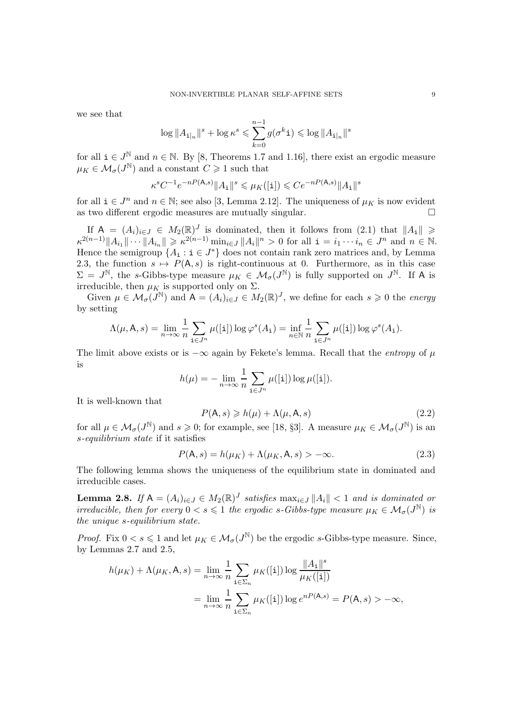we see that

$$
\log ||A_{\mathbf{i}|_n}||^s + \log \kappa^s \leq \sum_{k=0}^{n-1} g(\sigma^k \mathbf{i}) \leq \log ||A_{\mathbf{i}|_n}||^s
$$

for all  $i \in J^{\mathbb{N}}$  and  $n \in \mathbb{N}$ . By [\[8,](#page-14-7) Theorems 1.7 and 1.16], there exist an ergodic measure  $\mu_K \in \mathcal{M}_{\sigma}(J^{\mathbb{N}})$  and a constant  $C \geq 1$  such that

$$
\kappa^s C^{-1} e^{-nP(\mathbf{A},s)} \|A_\mathtt{i}\|^s \leqslant \mu_K([\mathtt{i}]) \leqslant C e^{-nP(\mathbf{A},s)} \|A_\mathtt{i}\|^s
$$

for all  $i \in J^n$  and  $n \in \mathbb{N}$ ; see also [\[3,](#page-14-1) Lemma 2.12]. The uniqueness of  $\mu_K$  is now evident as two different ergodic measures are mutually singular.  $\hfill \Box$ 

If  $A = (A_i)_{i \in J} \in M_2(\mathbb{R})^J$  is dominated, then it follows from  $(2.1)$  that  $||A_i|| \geq$  $\kappa^{2(n-1)} \|A_{i_1}\| \cdots \|A_{i_n}\| \geqslant \kappa^{2(n-1)} \min_{i \in J} \|A_i\|^n > 0$  for all  $i = i_1 \cdots i_n \in J^n$  and  $n \in \mathbb{N}$ . Hence the semigroup  ${A_i : i \in J^*}$  does not contain rank zero matrices and, by Lemma [2.3,](#page-5-2) the function  $s \mapsto P(A, s)$  is right-continuous at 0. Furthermore, as in this case  $\Sigma = J^{\mathbb{N}}$ , the s-Gibbs-type measure  $\mu_K \in \mathcal{M}_{\sigma}(J^{\mathbb{N}})$  is fully supported on  $J^{\mathbb{N}}$ . If A is irreducible, then  $\mu_K$  is supported only on  $\Sigma$ .

Given  $\mu \in \mathcal{M}_{\sigma}(\widetilde{J}^{\mathbb{N}})$  and  $A = (A_i)_{i \in J} \in M_2(\mathbb{R})^J$ , we define for each  $s \geq 0$  the *energy* by setting

$$
\Lambda(\mu, \mathsf{A}, s) = \lim_{n \to \infty} \frac{1}{n} \sum_{\mathbf{i} \in J^n} \mu([\mathbf{i}]) \log \varphi^s(A_\mathbf{i}) = \inf_{n \in \mathbb{N}} \frac{1}{n} \sum_{\mathbf{i} \in J^n} \mu([\mathbf{i}]) \log \varphi^s(A_\mathbf{i}).
$$

The limit above exists or is  $-\infty$  again by Fekete's lemma. Recall that the *entropy* of  $\mu$ is

$$
h(\mu) = -\lim_{n \to \infty} \frac{1}{n} \sum_{\mathbf{i} \in J^n} \mu([\mathbf{i}]) \log \mu([\mathbf{i}]).
$$

It is well-known that

$$
P(\mathsf{A},s) \geq h(\mu) + \Lambda(\mu,\mathsf{A},s) \tag{2.2}
$$

for all  $\mu \in \mathcal{M}_{\sigma}(J^{\mathbb{N}})$  and  $s \geqslant 0$ ; for example, see [\[18,](#page-15-1) §3]. A measure  $\mu_K \in \mathcal{M}_{\sigma}(J^{\mathbb{N}})$  is an s-equilibrium state if it satisfies

$$
P(\mathsf{A},s) = h(\mu_K) + \Lambda(\mu_K, \mathsf{A},s) > -\infty.
$$
\n(2.3)

The following lemma shows the uniqueness of the equilibrium state in dominated and irreducible cases.

<span id="page-8-0"></span>**Lemma 2.8.** If  $A = (A_i)_{i \in J} \in M_2(\mathbb{R})^J$  satisfies  $\max_{i \in J} ||A_i|| < 1$  and is dominated or irreducible, then for every  $0 < s \leq 1$  the ergodic s-Gibbs-type measure  $\mu_K \in \mathcal{M}_{\sigma}(J^{\mathbb{N}})$  is the unique s-equilibrium state.

*Proof.* Fix  $0 < s \le 1$  and let  $\mu_K \in \mathcal{M}_{\sigma}(J^{\mathbb{N}})$  be the ergodic s-Gibbs-type measure. Since, by Lemmas [2.7](#page-7-5) and [2.5,](#page-6-4)

$$
h(\mu_K) + \Lambda(\mu_K, \mathbf{A}, s) = \lim_{n \to \infty} \frac{1}{n} \sum_{\mathbf{i} \in \Sigma_n} \mu_K([\mathbf{i}]) \log \frac{\|A_{\mathbf{i}}\|^s}{\mu_K([\mathbf{i}])}
$$
  
= 
$$
\lim_{n \to \infty} \frac{1}{n} \sum_{\mathbf{i} \in \Sigma_n} \mu_K([\mathbf{i}]) \log e^{nP(\mathbf{A}, s)} = P(\mathbf{A}, s) > -\infty,
$$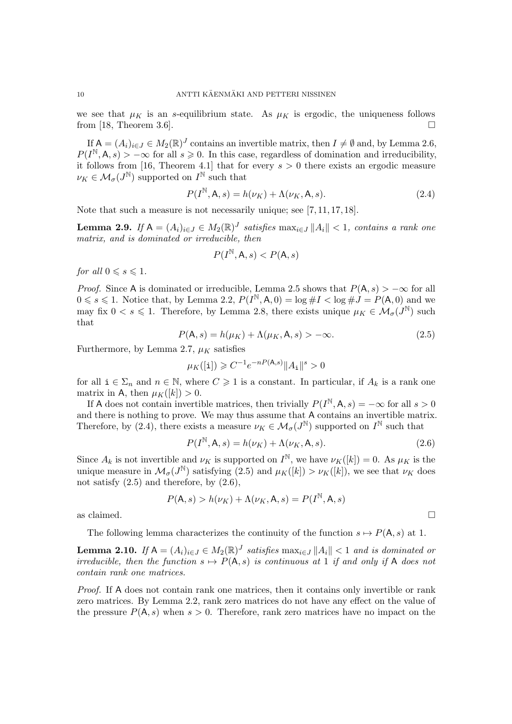we see that  $\mu_K$  is an s-equilibrium state. As  $\mu_K$  is ergodic, the uniqueness follows from [\[18,](#page-15-1) Theorem 3.6].

If  $A = (A_i)_{i \in J} \in M_2(\mathbb{R})^J$  contains an invertible matrix, then  $I \neq \emptyset$  and, by Lemma [2.6,](#page-7-6)  $P(I^{\mathbb{N}},\mathsf{A},s) > -\infty$  for all  $s \geq 0$ . In this case, regardless of domination and irreducibility, it follows from [\[16,](#page-14-8) Theorem 4.1] that for every  $s > 0$  there exists an ergodic measure  $\nu_K \in \mathcal{M}_{\sigma}(J^{\mathbb{N}})$  supported on  $I^{\mathbb{N}}$  such that

<span id="page-9-1"></span>
$$
P(I^{\mathbb{N}}, \mathsf{A}, s) = h(\nu_K) + \Lambda(\nu_K, \mathsf{A}, s). \tag{2.4}
$$

Note that such a measure is not necessarily unique; see [\[7,](#page-14-9) [11,](#page-14-6) [17,](#page-15-2) [18\]](#page-15-1).

<span id="page-9-4"></span>**Lemma 2.9.** If  $A = (A_i)_{i \in J} \in M_2(\mathbb{R})^J$  satisfies  $\max_{i \in J} ||A_i|| < 1$ , contains a rank one matrix, and is dominated or irreducible, then

$$
P(I^{\mathbb{N}}, \mathsf{A}, s) < P(\mathsf{A}, s)
$$

for all  $0 \leq s \leq 1$ .

*Proof.* Since A is dominated or irreducible, Lemma [2.5](#page-6-4) shows that  $P(A, s) > -\infty$  for all  $0 \leqslant s \leqslant 1$ . Notice that, by Lemma [2.2,](#page-4-0)  $P(I^{\mathbb{N}}, \mathsf{A}, 0) = \log \# I < \log \# J = P(\mathsf{A}, 0)$  and we may fix  $0 < s \leq 1$ . Therefore, by Lemma [2.8,](#page-8-0) there exists unique  $\mu_K \in \mathcal{M}_{\sigma}(J^{\mathbb{N}})$  such that

<span id="page-9-2"></span>
$$
P(\mathsf{A},s) = h(\mu_K) + \Lambda(\mu_K, \mathsf{A},s) > -\infty.
$$
\n(2.5)

Furthermore, by Lemma [2.7,](#page-7-5)  $\mu_K$  satisfies

$$
\mu_K([{\tt i}]) \geqslant C^{-1} e^{-n P({\sf A},s)} \|A_{\tt i}\|^s > 0
$$

for all  $i \in \Sigma_n$  and  $n \in \mathbb{N}$ , where  $C \geq 1$  is a constant. In particular, if  $A_k$  is a rank one matrix in A, then  $\mu_K([k]) > 0$ .

If A does not contain invertible matrices, then trivially  $P(I^{\mathbb{N}}, \mathsf{A}, s) = -\infty$  for all  $s > 0$ and there is nothing to prove. We may thus assume that A contains an invertible matrix. Therefore, by [\(2.4\)](#page-9-1), there exists a measure  $\nu_K \in \mathcal{M}_{\sigma}(J^{\mathbb{N}})$  supported on  $I^{\mathbb{N}}$  such that

<span id="page-9-3"></span>
$$
P(I^{\mathbb{N}}, \mathsf{A}, s) = h(\nu_K) + \Lambda(\nu_K, \mathsf{A}, s).
$$
\n(2.6)

Since  $A_k$  is not invertible and  $\nu_K$  is supported on  $I^{\mathbb{N}}$ , we have  $\nu_K([k]) = 0$ . As  $\mu_K$  is the unique measure in  $\mathcal{M}_{\sigma}(J^{\mathbb{N}})$  satisfying [\(2.5\)](#page-9-2) and  $\mu_K([k]) > \nu_K([k])$ , we see that  $\nu_K$  does not satisfy  $(2.5)$  and therefore, by  $(2.6)$ ,

$$
P(\mathsf{A},s) > h(\nu_K) + \Lambda(\nu_K,\mathsf{A},s) = P(I^{\mathbb{N}},\mathsf{A},s)
$$
 as claimed. 
$$
\Box
$$

The following lemma characterizes the continuity of the function  $s \mapsto P(A, s)$  at 1.

<span id="page-9-0"></span>**Lemma 2.10.** If  $A = (A_i)_{i \in J} \in M_2(\mathbb{R})^J$  satisfies  $\max_{i \in J} ||A_i|| < 1$  and is dominated or irreducible, then the function  $s \mapsto P(A, s)$  is continuous at 1 if and only if A does not contain rank one matrices.

Proof. If A does not contain rank one matrices, then it contains only invertible or rank zero matrices. By Lemma [2.2,](#page-4-0) rank zero matrices do not have any effect on the value of the pressure  $P(A, s)$  when  $s > 0$ . Therefore, rank zero matrices have no impact on the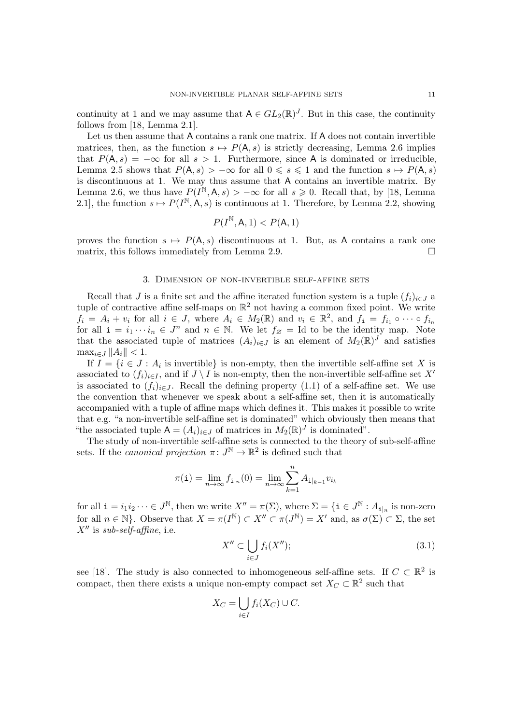continuity at 1 and we may assume that  $A \in GL_2(\mathbb{R})^J$ . But in this case, the continuity follows from [\[18,](#page-15-1) Lemma 2.1].

Let us then assume that A contains a rank one matrix. If A does not contain invertible matrices, then, as the function  $s \mapsto P(A, s)$  is strictly decreasing, Lemma [2.6](#page-7-6) implies that  $P(A, s) = -\infty$  for all  $s > 1$ . Furthermore, since A is dominated or irreducible, Lemma [2.5](#page-6-4) shows that  $P(A, s) > -\infty$  for all  $0 \le s \le 1$  and the function  $s \mapsto P(A, s)$ is discontinuous at 1. We may thus assume that A contains an invertible matrix. By Lemma [2.6,](#page-7-6) we thus have  $P(I^{\mathbb{N}}, \mathsf{A}, s) > -\infty$  for all  $s \geqslant 0$ . Recall that, by [\[18,](#page-15-1) Lemma 2.1], the function  $s \mapsto P(I^{\mathbb{N}}, A, s)$  is continuous at 1. Therefore, by Lemma [2.2,](#page-4-0) showing

$$
P(I^{\mathbb{N}}, \mathsf{A}, 1) < P(\mathsf{A}, 1)
$$

proves the function  $s \mapsto P(A, s)$  discontinuous at 1. But, as A contains a rank one matrix, this follows immediately from Lemma [2.9.](#page-9-4)  $\Box$ 

### 3. Dimension of non-invertible self-affine sets

<span id="page-10-0"></span>Recall that J is a finite set and the affine iterated function system is a tuple  $(f_i)_{i\in J}$  a tuple of contractive affine self-maps on  $\mathbb{R}^2$  not having a common fixed point. We write  $f_i = A_i + v_i$  for all  $i \in J$ , where  $A_i \in M_2(\mathbb{R})$  and  $v_i \in \mathbb{R}^2$ , and  $f_i = f_{i_1} \circ \cdots \circ f_{i_n}$ for all  $\mathbf{i} = i_1 \cdots i_n \in J^n$  and  $n \in \mathbb{N}$ . We let  $f_{\varnothing} = \mathrm{Id}$  to be the identity map. Note that the associated tuple of matrices  $(A_i)_{i\in J}$  is an element of  $M_2(\mathbb{R})^J$  and satisfies  $\max_{i \in J} ||A_i|| < 1.$ 

If  $I = \{i \in J : A_i$  is invertible is non-empty, then the invertible self-affine set X is associated to  $(f_i)_{i\in I}$ , and if  $J \setminus I$  is non-empty, then the non-invertible self-affine set X' is associated to  $(f_i)_{i\in J}$ . Recall the defining property [\(1.1\)](#page-0-0) of a self-affine set. We use the convention that whenever we speak about a self-affine set, then it is automatically accompanied with a tuple of affine maps which defines it. This makes it possible to write that e.g. "a non-invertible self-affine set is dominated" which obviously then means that "the associated tuple  $A = (A_i)_{i \in J}$  of matrices in  $M_2(\mathbb{R})^J$  is dominated".

The study of non-invertible self-affine sets is connected to the theory of sub-self-affine sets. If the *canonical projection*  $\pi: J^{\mathbb{N}} \to \mathbb{R}^2$  is defined such that

$$
\pi(\mathtt{i}) = \lim_{n \to \infty} f_{\mathtt{i}|_n}(0) = \lim_{n \to \infty} \sum_{k=1}^n A_{\mathtt{i}|_{k-1}} v_{i_k}
$$

for all  $\mathbf{i} = i_1 i_2 \cdots \in J^{\mathbb{N}}$ , then we write  $X'' = \pi(\Sigma)$ , where  $\Sigma = {\mathbf{i} \in J^{\mathbb{N}} : A_{\mathbf{i}|_n}}$  is non-zero for all  $n \in \mathbb{N}$ . Observe that  $X = \pi(I^{\mathbb{N}}) \subset X'' \subset \pi(J^{\mathbb{N}}) = X'$  and, as  $\sigma(\Sigma) \subset \Sigma$ , the set  $X''$  is sub-self-affine, i.e.

<span id="page-10-1"></span>
$$
X'' \subset \bigcup_{i \in J} f_i(X'');
$$
 (3.1)

see [\[18\]](#page-15-1). The study is also connected to inhomogeneous self-affine sets. If  $C \subset \mathbb{R}^2$  is compact, then there exists a unique non-empty compact set  $X_C \subset \mathbb{R}^2$  such that

$$
X_C = \bigcup_{i \in I} f_i(X_C) \cup C.
$$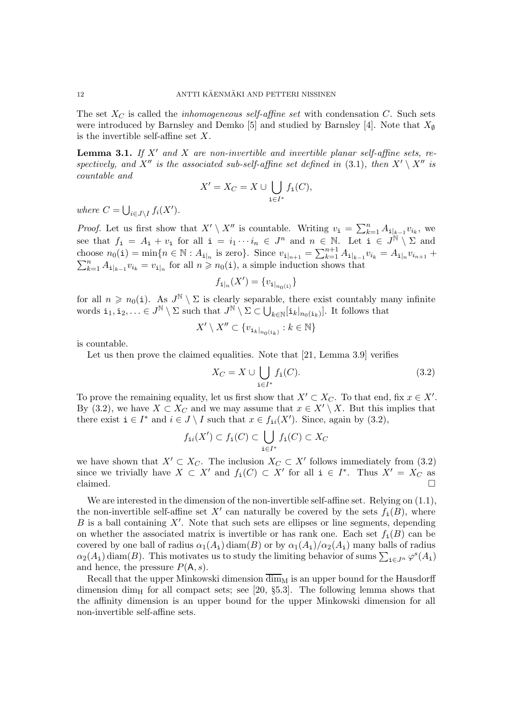The set  $X_C$  is called the *inhomogeneous self-affine set* with condensation  $C$ . Such sets were introduced by Barnsley and Demko [\[5\]](#page-14-10) and studied by Barnsley [\[4\]](#page-14-11). Note that  $X_{\emptyset}$ is the invertible self-affine set  $X$ .

<span id="page-11-1"></span>**Lemma 3.1.** If X' and X are non-invertible and invertible planar self-affine sets, re-spectively, and X<sup>''</sup> is the associated sub-self-affine set defined in [\(3.1\)](#page-10-1), then  $X' \setminus X''$  is countable and

$$
X' = X_C = X \cup \bigcup_{\mathbf{i} \in I^*} f_{\mathbf{i}}(C),
$$

where  $C = \bigcup_{i \in J \setminus I} f_i(X')$ .

*Proof.* Let us first show that  $X' \setminus X''$  is countable. Writing  $v_i = \sum_{k=1}^n A_{i|_{k-1}} v_{i_k}$ , we see that  $f_i = A_i + v_i$  for all  $i = i_1 \cdots i_n \in J^n$  and  $n \in \mathbb{N}$ . Let  $i \in J^{\mathbb{N}} \setminus \Sigma$  and choose  $n_0(i) = \min\{n \in \mathbb{N} : A_{i_n} \text{ is zero}\}\.$  Since  $v_{i_{n+1}} = \sum_{k=1}^{n+1} A_{i_{k-1}} v_{i_k} = A_{i_n} v_{i_{n+1}} +$  $\sum_{k=1}^{n} A_{\mathbf{i}|_{k-1}} v_{i_k} = v_{\mathbf{i}|_n}$  for all  $n \geq n_0(\mathbf{i})$ , a simple induction shows that

$$
f_{\mathbf{i}|_n}(X') = \{v_{\mathbf{i}|_{n_0(\mathbf{i})}}\}
$$

for all  $n \geq n_0(i)$ . As  $J^{\mathbb{N}} \setminus \Sigma$  is clearly separable, there exist countably many infinite words  $\mathbf{i}_1, \mathbf{i}_2, \ldots \in J^{\mathbb{N}} \setminus \Sigma$  such that  $J^{\mathbb{N}} \setminus \Sigma \subset \bigcup_{k \in \mathbb{N}} [\mathbf{i}_k|_{n_0(\mathbf{i}_k)}]$ . It follows that

$$
X'\setminus X''\subset \{v_{\mathtt{i}_k|_{n_0(\mathtt{i}_k)}}:k\in{\mathbb{N}}\}
$$

is countable.

Let us then prove the claimed equalities. Note that [\[21,](#page-15-3) Lemma 3.9] verifies

<span id="page-11-0"></span>
$$
X_C = X \cup \bigcup_{\mathbf{i} \in I^*} f_{\mathbf{i}}(C). \tag{3.2}
$$

To prove the remaining equality, let us first show that  $X' \subset X_C$ . To that end, fix  $x \in X'$ . By [\(3.2\)](#page-11-0), we have  $X \subset X_C$  and we may assume that  $x \in X' \setminus X$ . But this implies that there exist  $i \in I^*$  and  $i \in J \setminus I$  such that  $x \in f_{ii}(X')$ . Since, again by  $(3.2)$ ,

$$
f_{\mathtt{i}i}(X') \subset f_{\mathtt{i}}(C) \subset \bigcup_{\mathtt{i} \in I^*} f_{\mathtt{i}}(C) \subset X_C
$$

we have shown that  $X' \subset X_C$ . The inclusion  $X_C \subset X'$  follows immediately from [\(3.2\)](#page-11-0) since we trivially have  $X \subset X'$  and  $f_i(C) \subset X'$  for all  $i \in I^*$ . Thus  $X' = X_C$  as claimed.  $\square$ 

We are interested in the dimension of the non-invertible self-affine set. Relying on  $(1.1)$ , the non-invertible self-affine set X' can naturally be covered by the sets  $f_i(B)$ , where  $B$  is a ball containing  $X'$ . Note that such sets are ellipses or line segments, depending on whether the associated matrix is invertible or has rank one. Each set  $f_i(B)$  can be covered by one ball of radius  $\alpha_1(A_i)$  diam(B) or by  $\alpha_1(A_i)/\alpha_2(A_i)$  many balls of radius  $\alpha_2(A_1)$  diam(B). This motivates us to study the limiting behavior of sums  $\sum_{i\in J^n} \varphi^s(A_i)$ and hence, the pressure  $P(A, s)$ .

Recall that the upper Minkowski dimension  $\overline{\dim}_M$  is an upper bound for the Hausdorff dimension dim<sub>H</sub> for all compact sets; see [\[20,](#page-15-4)  $\S5.3$ ]. The following lemma shows that the affinity dimension is an upper bound for the upper Minkowski dimension for all non-invertible self-affine sets.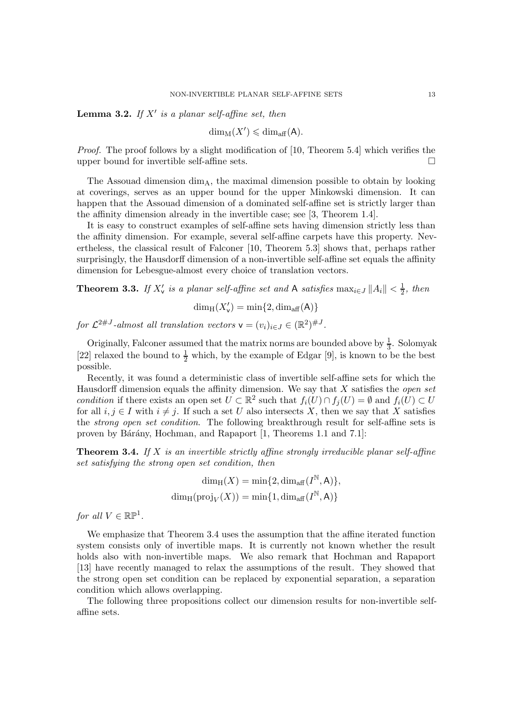<span id="page-12-1"></span>**Lemma 3.2.** If  $X'$  is a planar self-affine set, then

$$
\dim_{\mathrm{M}}(X') \leqslant \dim_{\mathrm{aff}}(A).
$$

Proof. The proof follows by a slight modification of [\[10,](#page-14-12) Theorem 5.4] which verifies the upper bound for invertible self-affine sets.

The Assouad dimension  $\dim_A$ , the maximal dimension possible to obtain by looking at coverings, serves as an upper bound for the upper Minkowski dimension. It can happen that the Assouad dimension of a dominated self-affine set is strictly larger than the affinity dimension already in the invertible case; see [\[3,](#page-14-1) Theorem 1.4].

It is easy to construct examples of self-affine sets having dimension strictly less than the affinity dimension. For example, several self-affine carpets have this property. Nevertheless, the classical result of Falconer [\[10,](#page-14-12) Theorem 5.3] shows that, perhaps rather surprisingly, the Hausdorff dimension of a non-invertible self-affine set equals the affinity dimension for Lebesgue-almost every choice of translation vectors.

<span id="page-12-2"></span>**Theorem 3.3.** If  $X'_{\mathsf{v}}$  is a planar self-affine set and A satisfies  $\max_{i \in J} ||A_i|| < \frac{1}{2}$  $rac{1}{2}$ , then

 $\dim_{\mathrm{H}}(X'_{\mathsf{v}}) = \min\{2,\dim_{\mathrm{aff}}(\mathsf{A})\}$ 

for  $\mathcal{L}^{2\#J}$ -almost all translation vectors  $\mathsf{v} = (v_i)_{i \in J} \in (\mathbb{R}^2)^{\#J}$ .

Originally, Falconer assumed that the matrix norms are bounded above by  $\frac{1}{3}$ . Solomyak [\[22\]](#page-15-5) relaxed the bound to  $\frac{1}{2}$  which, by the example of Edgar [\[9\]](#page-14-13), is known to be the best possible.

Recently, it was found a deterministic class of invertible self-affine sets for which the Hausdorff dimension equals the affinity dimension. We say that  $X$  satisfies the *open set* condition if there exists an open set  $U \subset \mathbb{R}^2$  such that  $f_i(U) \cap f_j(U) = \emptyset$  and  $f_i(U) \subset U$ for all  $i, j \in I$  with  $i \neq j$ . If such a set U also intersects X, then we say that X satisfies the *strong open set condition*. The following breakthrough result for self-affine sets is proven by Bárány, Hochman, and Rapaport [\[1,](#page-14-14) Theorems 1.1 and 7.1]:

<span id="page-12-0"></span>**Theorem 3.4.** If X is an invertible strictly affine strongly irreducible planar self-affine set satisfying the strong open set condition, then

$$
\dim_{\mathrm{H}}(X) = \min\{2, \dim_{\mathrm{aff}}(I^{\mathbb{N}}, \mathsf{A})\},
$$

$$
\dim_{\mathrm{H}}(\mathrm{proj}_V(X)) = \min\{1, \dim_{\mathrm{aff}}(I^{\mathbb{N}}, \mathsf{A})\}
$$

for all  $V \in \mathbb{RP}^1$ .

We emphasize that Theorem [3.4](#page-12-0) uses the assumption that the affine iterated function system consists only of invertible maps. It is currently not known whether the result holds also with non-invertible maps. We also remark that Hochman and Rapaport [\[13\]](#page-14-15) have recently managed to relax the assumptions of the result. They showed that the strong open set condition can be replaced by exponential separation, a separation condition which allows overlapping.

The following three propositions collect our dimension results for non-invertible selfaffine sets.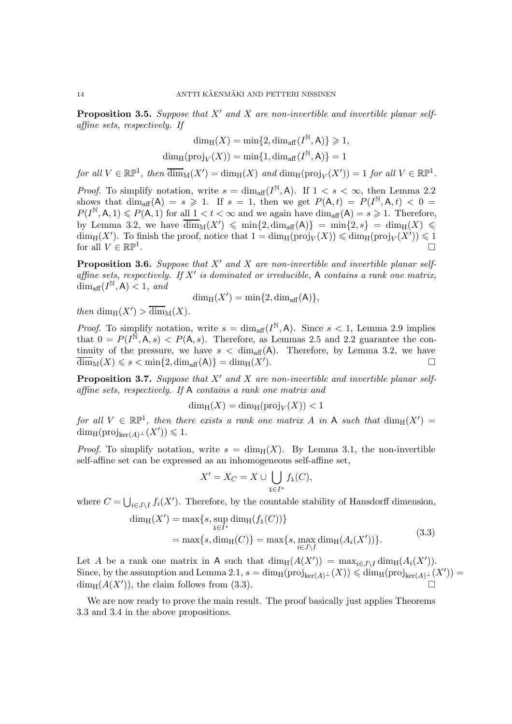<span id="page-13-1"></span>**Proposition 3.5.** Suppose that  $X'$  and  $X$  are non-invertible and invertible planar selfaffine sets, respectively. If

$$
\dim_{\mathrm{H}}(X) = \min\{2, \dim_{\mathrm{aff}}(I^{\mathbb{N}}, \mathsf{A})\} \geq 1,
$$

$$
\dim_{\rm H}(\mathrm{proj}_V(X))=\min\{1,\dim_{\rm aff}(I^{\mathbb N},{\mathsf A})\}=1
$$

for all  $V \in \mathbb{RP}^1$ , then  $\overline{\dim}_{M}(X') = \dim_{H}(X)$  and  $\dim_{H}(\text{proj}_{V}(X')) = 1$  for all  $V \in \mathbb{RP}^1$ .

*Proof.* To simplify notation, write  $s = \dim_{\text{aff}} (I^{\mathbb{N}}, \mathsf{A})$ . If  $1 < s < \infty$ , then Lemma [2.2](#page-4-0) shows that  $\dim_{\text{aff}}(A) = s \geq 1$ . If  $s = 1$ , then we get  $P(A, t) = P(I^{\mathbb{N}}, A, t) < 0$  $P(I^{\mathbb{N}},\mathsf{A},1)\leqslant P(\mathsf{A},1)$  for all  $1 < t < \infty$  and we again have  $\dim_{\text{aff}}(\mathsf{A})=s\geqslant 1$ . Therefore, by Lemma [3.2,](#page-12-1) we have  $\overline{\dim}_{M}(X') \leqslant \min\{2, \dim_{\text{aff}}(A)\} = \min\{2, s\} = \dim_{H}(X) \leqslant$  $\dim_H(X')$ . To finish the proof, notice that  $1 = \dim_H(p\text{roj}_V(X)) \leqslant \dim_H(p\text{roj}_V(X')) \leqslant 1$ for all  $V \in \mathbb{RP}^1$ . .

<span id="page-13-2"></span>**Proposition 3.6.** Suppose that  $X'$  and  $X$  are non-invertible and invertible planar selfaffine sets, respectively. If  $X'$  is dominated or irreducible, A contains a rank one matrix,  $\dim_{\text{aff}} (I^{\mathbb{N}}, \mathsf{A}) < 1, \text{ and}$ 

$$
\dim_{\mathrm{H}}(X') = \min\{2, \dim_{\mathrm{aff}}(\mathsf{A})\},\
$$

then  $\dim_{\rm H}(X') > \overline{\dim}_{\rm M}(X)$ .

*Proof.* To simplify notation, write  $s = \dim_{\text{aff}} (I^{\mathbb{N}}, \mathsf{A})$ . Since  $s < 1$ , Lemma [2.9](#page-9-4) implies that  $0 = P(I^{\tilde{N}}, A, s) < P(A, s)$ . Therefore, as Lemmas [2.5](#page-6-4) and [2.2](#page-4-0) guarantee the continuity of the pressure, we have  $s < \dim_{\text{aff}}(A)$ . Therefore, by Lemma [3.2,](#page-12-1) we have  $\dim_M(X) \leqslant s < \min\{2, \dim_{\text{aff}}(A)\} = \dim_H(X').$ ).  $\qquad \qquad \Box$ 

<span id="page-13-3"></span>**Proposition 3.7.** Suppose that  $X'$  and  $X$  are non-invertible and invertible planar selfaffine sets, respectively. If A contains a rank one matrix and

$$
\dim_{\rm H}(X)=\dim_{\rm H}(\mathrm{proj}_V(X))<1
$$

for all  $V \in \mathbb{RP}^1$ , then there exists a rank one matrix A in A such that  $\dim_H(X') =$  $\dim_{\text{H}}(\text{proj}_{\text{ker}(A)^{\perp}}(X')) \leq 1.$ 

*Proof.* To simplify notation, write  $s = \dim_{\mathcal{H}}(X)$ . By Lemma [3.1,](#page-11-1) the non-invertible self-affine set can be expressed as an inhomogeneous self-affine set,

$$
X' = X_C = X \cup \bigcup_{\mathbf{i} \in I^*} f_{\mathbf{i}}(C),
$$

where  $C = \bigcup_{i \in J \setminus I} f_i(X')$ . Therefore, by the countable stability of Hausdorff dimension,

$$
\dim_{\mathcal{H}}(X') = \max\{s, \sup_{\mathbf{i}\in I^*} \dim_{\mathcal{H}}(f_{\mathbf{i}}(C))\}
$$
  
= 
$$
\max\{s, \dim_{\mathcal{H}}(C)\} = \max\{s, \max_{i\in J\setminus I} \dim_{\mathcal{H}}(A_i(X'))\}.
$$
 (3.3)

<span id="page-13-0"></span>Let A be a rank one matrix in A such that  $\dim_H(A(X')) = \max_{i \in J \setminus I} \dim_H(A_i(X'))$ . Since, by the assumption and Lemma [2.1,](#page-2-0)  $s = \dim_{\text{H}}(\text{proj}_{\text{ker}(A)^{\perp}}(X)) \leq \dim_{\text{H}}(\text{proj}_{\text{ker}(A)^{\perp}}(X'))$  $\dim_{\text{H}}(A(X'))$ , the claim follows from [\(3.3\)](#page-13-0).

We are now ready to prove the main result. The proof basically just applies Theorems [3.3](#page-12-2) and [3.4](#page-12-0) in the above propositions.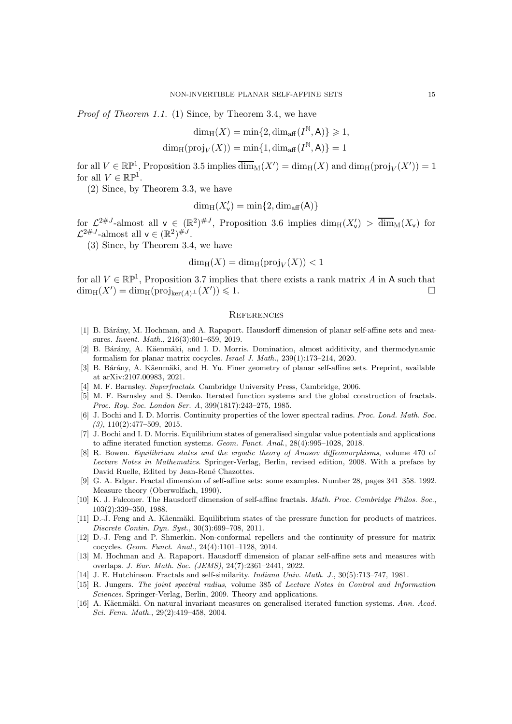Proof of Theorem [1.1.](#page-1-0) (1) Since, by Theorem [3.4,](#page-12-0) we have

$$
\dim_{\rm H}(X)=\min\{2,\dim_{\rm aff}(I^{\mathbb N},{\sf A})\}\geqslant 1,
$$

$$
\dim_{\mathrm{H}}(\mathrm{proj}_V(X)) = \min\{1, \dim_{\mathrm{aff}}(I^{\mathbb{N}}, \mathsf{A})\} = 1
$$

for all  $V \in \mathbb{RP}^1$ , Proposition [3.5](#page-13-1) implies  $\overline{\dim}_M(X') = \dim_H(X)$  and  $\dim_H(proj_V(X')) = 1$ for all  $V \in \mathbb{RP}^1$ .

(2) Since, by Theorem [3.3,](#page-12-2) we have

$$
\dim_{\mathrm{H}}(X'_{\mathsf{v}})=\min\{2,\dim_{\mathrm{aff}}(\mathsf{A})\}
$$

for  $\mathcal{L}^{2\#J}$ -almost all  $\mathsf{v} \in (\mathbb{R}^2)^{\#J}$ , Proposition [3.6](#page-13-2) implies  $\dim_H(X'_{\mathsf{v}}) > \overline{\dim}_M(X_{\mathsf{v}})$  for  $\mathcal{L}^{2\#J}$ -almost all  $\mathsf{v} \in (\mathbb{R}^2)^{\#J}$ .

(3) Since, by Theorem [3.4,](#page-12-0) we have

$$
\dim_{\rm H}(X)=\dim_{\rm H}(\mathrm{proj}_V(X))<1
$$

for all  $V \in \mathbb{RP}^1$ , Proposition [3.7](#page-13-3) implies that there exists a rank matrix A in A such that  $\dim_{\mathrm{H}}(X') = \dim_{\mathrm{H}}(\mathrm{proj}_{\ker(A)^{\perp}}(X')) \leq 1.$ 

#### **REFERENCES**

- <span id="page-14-14"></span>[1] B. Bárány, M. Hochman, and A. Rapaport. Hausdorff dimension of planar self-affine sets and measures. Invent. Math., 216(3):601–659, 2019.
- <span id="page-14-2"></span>[2] B. Bárány, A. Käenmäki, and I. D. Morris. Domination, almost additivity, and thermodynamic formalism for planar matrix cocycles. Israel J. Math., 239(1):173–214, 2020.
- <span id="page-14-1"></span>[3] B. Bárány, A. Käenmäki, and H. Yu. Finer geometry of planar self-affine sets. Preprint, available at [arXiv:2107.00983,](http://arxiv.org/abs/2107.00983) 2021.
- <span id="page-14-11"></span><span id="page-14-10"></span>[4] M. F. Barnsley. Superfractals. Cambridge University Press, Cambridge, 2006.
- [5] M. F. Barnsley and S. Demko. Iterated function systems and the global construction of fractals. Proc. Roy. Soc. London Ser. A, 399(1817):243–275, 1985.
- <span id="page-14-4"></span>[6] J. Bochi and I. D. Morris. Continuity properties of the lower spectral radius. Proc. Lond. Math. Soc.  $(3), 110(2):477-509, 2015.$
- <span id="page-14-9"></span>[7] J. Bochi and I. D. Morris. Equilibrium states of generalised singular value potentials and applications to affine iterated function systems. Geom. Funct. Anal., 28(4):995–1028, 2018.
- <span id="page-14-7"></span>[8] R. Bowen. Equilibrium states and the ergodic theory of Anosov diffeomorphisms, volume 470 of Lecture Notes in Mathematics. Springer-Verlag, Berlin, revised edition, 2008. With a preface by David Ruelle, Edited by Jean-René Chazottes.
- <span id="page-14-13"></span>[9] G. A. Edgar. Fractal dimension of self-affine sets: some examples. Number 28, pages 341–358. 1992. Measure theory (Oberwolfach, 1990).
- <span id="page-14-12"></span>[10] K. J. Falconer. The Hausdorff dimension of self-affine fractals. Math. Proc. Cambridge Philos. Soc., 103(2):339–350, 1988.
- <span id="page-14-6"></span>[11] D.-J. Feng and A. Käenmäki. Equilibrium states of the pressure function for products of matrices. Discrete Contin. Dyn. Syst., 30(3):699–708, 2011.
- <span id="page-14-3"></span>[12] D.-J. Feng and P. Shmerkin. Non-conformal repellers and the continuity of pressure for matrix cocycles. Geom. Funct. Anal., 24(4):1101–1128, 2014.
- <span id="page-14-15"></span>[13] M. Hochman and A. Rapaport. Hausdorff dimension of planar self-affine sets and measures with overlaps. J. Eur. Math. Soc. (JEMS), 24(7):2361–2441, 2022.
- <span id="page-14-5"></span><span id="page-14-0"></span>[14] J. E. Hutchinson. Fractals and self-similarity. Indiana Univ. Math. J., 30(5):713–747, 1981.
- [15] R. Jungers. The joint spectral radius, volume 385 of Lecture Notes in Control and Information Sciences. Springer-Verlag, Berlin, 2009. Theory and applications.
- <span id="page-14-8"></span>[16] A. Käenmäki. On natural invariant measures on generalised iterated function systems. Ann. Acad. Sci. Fenn. Math., 29(2):419–458, 2004.